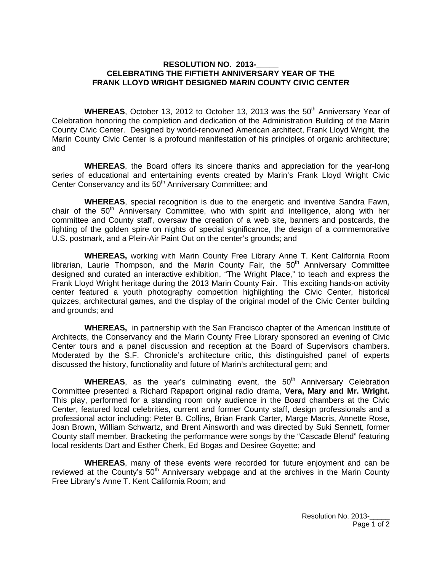## **RESOLUTION NO. 2013-CELEBRATING THE FIFTIETH ANNIVERSARY YEAR OF THE FRANK LLOYD WRIGHT DESIGNED MARIN COUNTY CIVIC CENTER**

**WHEREAS**, October 13, 2012 to October 13, 2013 was the 50<sup>th</sup> Anniversary Year of Celebration honoring the completion and dedication of the Administration Building of the Marin County Civic Center. Designed by world-renowned American architect, Frank Lloyd Wright, the Marin County Civic Center is a profound manifestation of his principles of organic architecture; and

 **WHEREAS**, the Board offers its sincere thanks and appreciation for the year-long series of educational and entertaining events created by Marin's Frank Lloyd Wright Civic Center Conservancy and its 50<sup>th</sup> Anniversary Committee; and

 **WHEREAS**, special recognition is due to the energetic and inventive Sandra Fawn, chair of the  $50<sup>th</sup>$  Anniversary Committee, who with spirit and intelligence, along with her committee and County staff, oversaw the creation of a web site, banners and postcards, the lighting of the golden spire on nights of special significance, the design of a commemorative U.S. postmark, and a Plein-Air Paint Out on the center's grounds; and

 **WHEREAS,** working with Marin County Free Library Anne T. Kent California Room librarian, Laurie Thompson, and the Marin County Fair, the  $50<sup>th</sup>$  Anniversary Committee designed and curated an interactive exhibition, "The Wright Place," to teach and express the Frank Lloyd Wright heritage during the 2013 Marin County Fair. This exciting hands-on activity center featured a youth photography competition highlighting the Civic Center, historical quizzes, architectural games, and the display of the original model of the Civic Center building and grounds; and

 **WHEREAS,** in partnership with the San Francisco chapter of the American Institute of Architects, the Conservancy and the Marin County Free Library sponsored an evening of Civic Center tours and a panel discussion and reception at the Board of Supervisors chambers. Moderated by the S.F. Chronicle's architecture critic, this distinguished panel of experts discussed the history, functionality and future of Marin's architectural gem; and

**WHEREAS**, as the year's culminating event, the 50<sup>th</sup> Anniversary Celebration Committee presented a Richard Rapaport original radio drama, **Vera, Mary and Mr. Wright.**  This play, performed for a standing room only audience in the Board chambers at the Civic Center, featured local celebrities, current and former County staff, design professionals and a professional actor including: Peter B. Collins, Brian Frank Carter, Marge Macris, Annette Rose, Joan Brown, William Schwartz, and Brent Ainsworth and was directed by Suki Sennett, former County staff member. Bracketing the performance were songs by the "Cascade Blend" featuring local residents Dart and Esther Cherk, Ed Bogas and Desiree Goyette; and

 **WHEREAS**, many of these events were recorded for future enjoyment and can be reviewed at the County's  $50<sup>th</sup>$  Anniversary webpage and at the archives in the Marin County Free Library's Anne T. Kent California Room; and